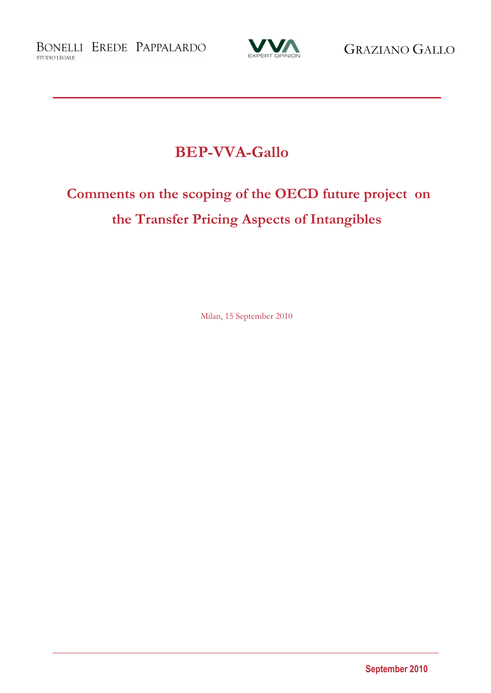BONELLI EREDE PAPPALARDO STUDIO LEGALE



# **BEP-VVA-Gallo**

# **Comments on the scoping of the OECD future project on the Transfer Pricing Aspects of Intangibles**

Milan, 15 September 2010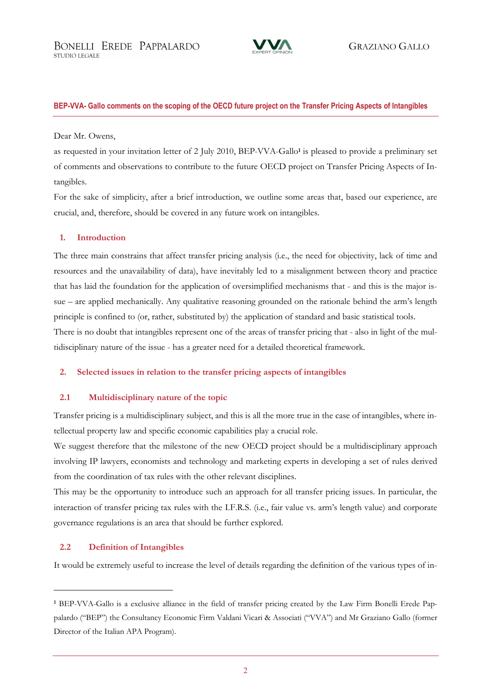

### Dear Mr. Owens,

as requested in your invitation letter of 2 July 2010, BEP-VVA-Gallo<sup>1</sup> is pleased to provide a preliminary set of comments and observations to contribute to the future OECD project on Transfer Pricing Aspects of Intangibles.

For the sake of simplicity, after a brief introduction, we outline some areas that, based our experience, are crucial, and, therefore, should be covered in any future work on intangibles.

# **1. Introduction**

The three main constrains that affect transfer pricing analysis (i.e., the need for objectivity, lack of time and resources and the unavailability of data), have inevitably led to a misalignment between theory and practice that has laid the foundation for the application of oversimplified mechanisms that - and this is the major issue – are applied mechanically. Any qualitative reasoning grounded on the rationale behind the arm's length principle is confined to (or, rather, substituted by) the application of standard and basic statistical tools. There is no doubt that intangibles represent one of the areas of transfer pricing that - also in light of the multidisciplinary nature of the issue - has a greater need for a detailed theoretical framework.

# **2. Selected issues in relation to the transfer pricing aspects of intangibles**

# **2.1 Multidisciplinary nature of the topic**

Transfer pricing is a multidisciplinary subject, and this is all the more true in the case of intangibles, where intellectual property law and specific economic capabilities play a crucial role.

We suggest therefore that the milestone of the new OECD project should be a multidisciplinary approach involving IP lawyers, economists and technology and marketing experts in developing a set of rules derived from the coordination of tax rules with the other relevant disciplines.

This may be the opportunity to introduce such an approach for all transfer pricing issues. In particular, the interaction of transfer pricing tax rules with the I.F.R.S. (i.e., fair value vs. arm's length value) and corporate governance regulations is an area that should be further explored.

# **2.2 Definition of Intangibles**

It would be extremely useful to increase the level of details regarding the definition of the various types of in-

**<sup>1</sup>** BEP-VVA-Gallo is a exclusive alliance in the field of transfer pricing created by the Law Firm Bonelli Erede Pappalardo ("BEP") the Consultancy Economic Firm Valdani Vicari & Associati ("VVA") and Mr Graziano Gallo (former Director of the Italian APA Program).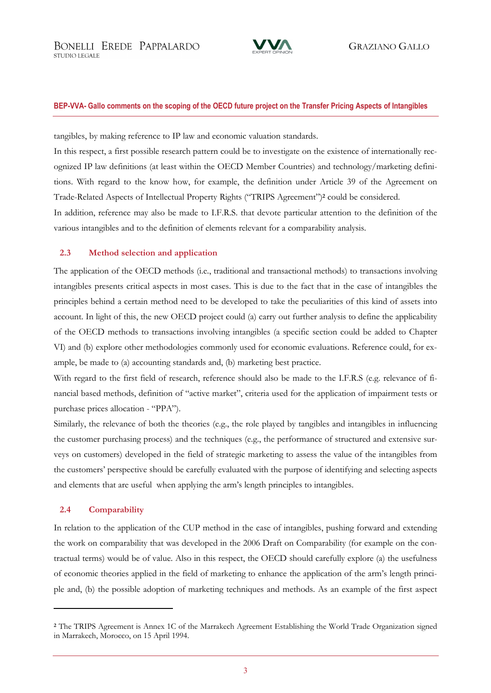

tangibles, by making reference to IP law and economic valuation standards.

In this respect, a first possible research pattern could be to investigate on the existence of internationally recognized IP law definitions (at least within the OECD Member Countries) and technology/marketing definitions. With regard to the know how, for example, the definition under Article 39 of the Agreement on Trade-Related Aspects of Intellectual Property Rights ("TRIPS Agreement")**<sup>2</sup>** could be considered.

In addition, reference may also be made to I.F.R.S. that devote particular attention to the definition of the various intangibles and to the definition of elements relevant for a comparability analysis.

# **2.3 Method selection and application**

The application of the OECD methods (i.e., traditional and transactional methods) to transactions involving intangibles presents critical aspects in most cases. This is due to the fact that in the case of intangibles the principles behind a certain method need to be developed to take the peculiarities of this kind of assets into account. In light of this, the new OECD project could (a) carry out further analysis to define the applicability of the OECD methods to transactions involving intangibles (a specific section could be added to Chapter VI) and (b) explore other methodologies commonly used for economic evaluations. Reference could, for example, be made to (a) accounting standards and, (b) marketing best practice.

With regard to the first field of research, reference should also be made to the I.F.R.S (e.g. relevance of financial based methods, definition of "active market", criteria used for the application of impairment tests or purchase prices allocation - "PPA").

Similarly, the relevance of both the theories (e.g., the role played by tangibles and intangibles in influencing the customer purchasing process) and the techniques (e.g., the performance of structured and extensive surveys on customers) developed in the field of strategic marketing to assess the value of the intangibles from the customers' perspective should be carefully evaluated with the purpose of identifying and selecting aspects and elements that are useful when applying the arm's length principles to intangibles.

### **2.4 Comparability**

In relation to the application of the CUP method in the case of intangibles, pushing forward and extending the work on comparability that was developed in the 2006 Draft on Comparability (for example on the contractual terms) would be of value. Also in this respect, the OECD should carefully explore (a) the usefulness of economic theories applied in the field of marketing to enhance the application of the arm's length principle and, (b) the possible adoption of marketing techniques and methods. As an example of the first aspect

**<sup>2</sup>** The TRIPS Agreement is Annex 1C of the Marrakech Agreement Establishing the World Trade Organization signed in Marrakech, Morocco, on 15 April 1994.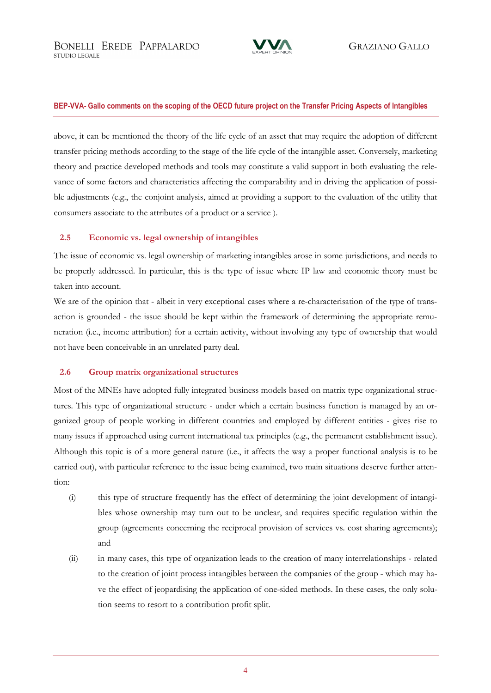

transfer pricing methods according to the stage of the life cycle of the intangible asset. Conversely, marketing above, it can be mentioned the theory of the life cycle of an asset that may require the adoption of different theory and practice developed methods and tools may constitute a valid support in both evaluating the relevance of some factors and characteristics affecting the comparability and in driving the application of possible adjustments (e.g., the conjoint analysis, aimed at providing a support to the evaluation of the utility that consumers associate to the attributes of a product or a service ).

# **2.5 Economic vs. legal ownership of intangibles**

The issue of economic vs. legal ownership of marketing intangibles arose in some jurisdictions, and needs to be properly addressed. In particular, this is the type of issue where IP law and economic theory must be taken into account.

We are of the opinion that - albeit in very exceptional cases where a re-characterisation of the type of transaction is grounded - the issue should be kept within the framework of determining the appropriate remuneration (i.e., income attribution) for a certain activity, without involving any type of ownership that would not have been conceivable in an unrelated party deal.

# **2.6 Group matrix organizational structures**

Most of the MNEs have adopted fully integrated business models based on matrix type organizational structures. This type of organizational structure - under which a certain business function is managed by an organized group of people working in different countries and employed by different entities - gives rise to many issues if approached using current international tax principles (e.g., the permanent establishment issue). Although this topic is of a more general nature (i.e., it affects the way a proper functional analysis is to be carried out), with particular reference to the issue being examined, two main situations deserve further attention:

- (i) this type of structure frequently has the effect of determining the joint development of intangibles whose ownership may turn out to be unclear, and requires specific regulation within the group (agreements concerning the reciprocal provision of services vs. cost sharing agreements); and
- (ii) in many cases, this type of organization leads to the creation of many interrelationships related to the creation of joint process intangibles between the companies of the group - which may have the effect of jeopardising the application of one-sided methods. In these cases, the only solution seems to resort to a contribution profit split.